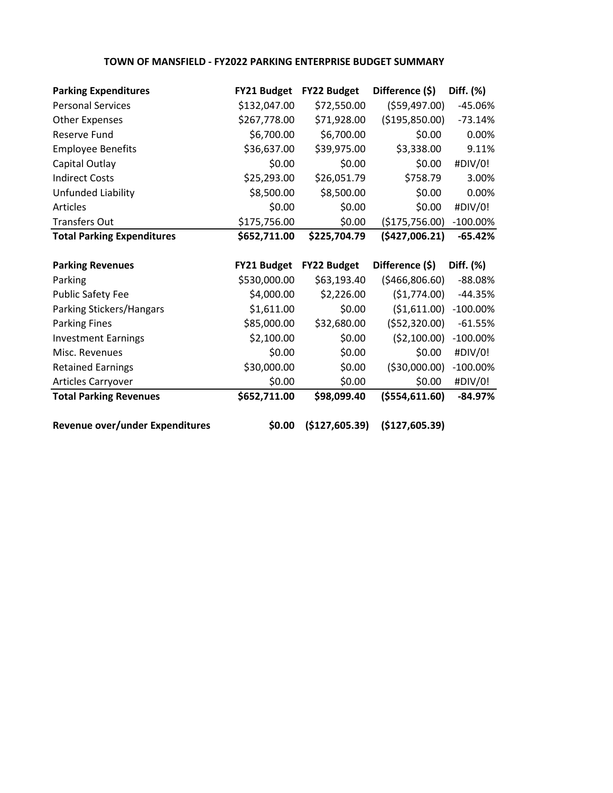## **TOWN OF MANSFIELD - FY2022 PARKING ENTERPRISE BUDGET SUMMARY**

| <b>Parking Expenditures</b>       | <b>FY21 Budget</b> | <b>FY22 Budget</b> | Difference (\$)  | Diff. (%)   |
|-----------------------------------|--------------------|--------------------|------------------|-------------|
| <b>Personal Services</b>          | \$132,047.00       | \$72,550.00        | ( \$59,497.00)   | -45.06%     |
| <b>Other Expenses</b>             | \$267,778.00       | \$71,928.00        | ( \$195, 850.00) | $-73.14%$   |
| <b>Reserve Fund</b>               | \$6,700.00         | \$6,700.00         | \$0.00           | 0.00%       |
| <b>Employee Benefits</b>          | \$36,637.00        | \$39,975.00        | \$3,338.00       | 9.11%       |
| Capital Outlay                    | \$0.00             | \$0.00             | \$0.00           | #DIV/0!     |
| <b>Indirect Costs</b>             | \$25,293.00        | \$26,051.79        | \$758.79         | 3.00%       |
| Unfunded Liability                | \$8,500.00         | \$8,500.00         | \$0.00           | 0.00%       |
| <b>Articles</b>                   | \$0.00             | \$0.00             | \$0.00           | #DIV/0!     |
| <b>Transfers Out</b>              | \$175,756.00       | \$0.00             | (\$175,756.00)   | $-100.00\%$ |
| <b>Total Parking Expenditures</b> | \$652,711.00       | \$225,704.79       | (\$427,006.21)   | $-65.42%$   |
|                                   |                    |                    |                  |             |
| <b>Parking Revenues</b>           | <b>FY21 Budget</b> | <b>FY22 Budget</b> | Difference (\$)  | Diff. (%)   |
| Parking                           | \$530,000.00       | \$63,193.40        | ( \$466, 806.60) | $-88.08%$   |
| <b>Public Safety Fee</b>          | \$4,000.00         | \$2,226.00         | (51,774.00)      | $-44.35%$   |
| Parking Stickers/Hangars          | \$1,611.00         | \$0.00             | ( \$1,611.00)    | $-100.00\%$ |
| <b>Parking Fines</b>              | \$85,000.00        | \$32,680.00        | ( \$52, 320.00)  | $-61.55%$   |
| <b>Investment Earnings</b>        | \$2,100.00         | \$0.00             | (52, 100.00)     | $-100.00\%$ |
| Misc. Revenues                    | \$0.00             | \$0.00             | \$0.00           | #DIV/0!     |
| <b>Retained Earnings</b>          | \$30,000.00        | \$0.00             | ( \$30,000.00)   | $-100.00\%$ |
| Articles Carryover                | \$0.00             | \$0.00             | \$0.00           | #DIV/0!     |

**Revenue over/under Expenditures \$0.00 (\$127,605.39) (\$127,605.39)**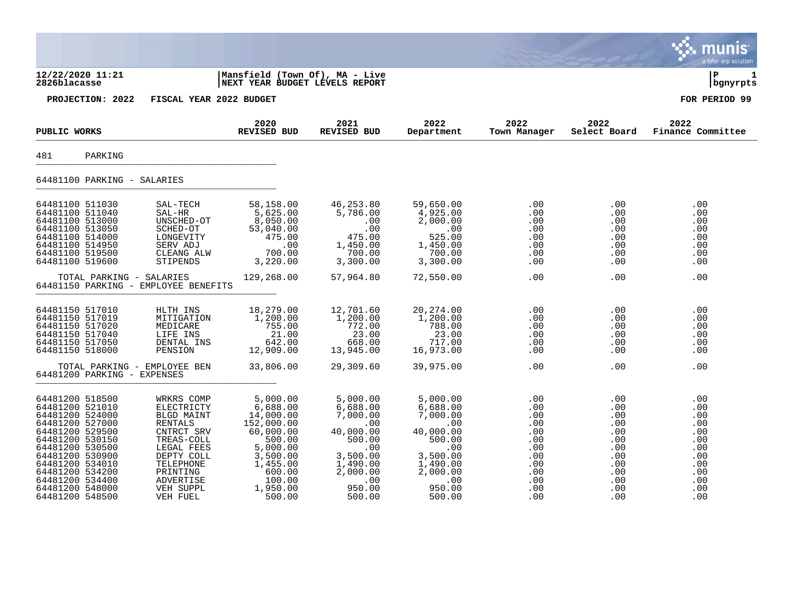|                                                                                                                                                                                                                                                     |                                                                                                                                                                                        |                                                                                                                                                      |                                                                                                                                      |                                                                                                                                      |                                                                                         |                                                                                                                            | munis<br>a tyler erp solution                                                           |
|-----------------------------------------------------------------------------------------------------------------------------------------------------------------------------------------------------------------------------------------------------|----------------------------------------------------------------------------------------------------------------------------------------------------------------------------------------|------------------------------------------------------------------------------------------------------------------------------------------------------|--------------------------------------------------------------------------------------------------------------------------------------|--------------------------------------------------------------------------------------------------------------------------------------|-----------------------------------------------------------------------------------------|----------------------------------------------------------------------------------------------------------------------------|-----------------------------------------------------------------------------------------|
| 12/22/2020 11:21<br>2826blacasse                                                                                                                                                                                                                    |                                                                                                                                                                                        | Mansfield (Town Of), MA - Live<br>NEXT YEAR BUDGET LEVELS REPORT                                                                                     |                                                                                                                                      |                                                                                                                                      |                                                                                         |                                                                                                                            | l P<br>1<br>  bgnyrpts                                                                  |
| PROJECTION: 2022                                                                                                                                                                                                                                    | FISCAL YEAR 2022 BUDGET                                                                                                                                                                |                                                                                                                                                      |                                                                                                                                      |                                                                                                                                      |                                                                                         |                                                                                                                            | FOR PERIOD 99                                                                           |
| PUBLIC WORKS                                                                                                                                                                                                                                        |                                                                                                                                                                                        | 2020<br><b>REVISED BUD</b>                                                                                                                           | 2021<br><b>REVISED BUD</b>                                                                                                           | 2022<br>Department                                                                                                                   | 2022<br>Town Manager                                                                    | 2022<br>Select Board                                                                                                       | 2022<br>Finance Committee                                                               |
| 481<br>PARKING                                                                                                                                                                                                                                      |                                                                                                                                                                                        |                                                                                                                                                      |                                                                                                                                      |                                                                                                                                      |                                                                                         |                                                                                                                            |                                                                                         |
| 64481100 PARKING - SALARIES                                                                                                                                                                                                                         |                                                                                                                                                                                        |                                                                                                                                                      |                                                                                                                                      |                                                                                                                                      |                                                                                         |                                                                                                                            |                                                                                         |
| 64481100 511030<br>64481100 511040<br>64481100 513000<br>64481100 513050<br>64481100 514000<br>64481100 514950<br>64481100 519500<br>64481100 519600                                                                                                | SAL-TECH<br>SAL-HR<br>UNSCHED-OT<br>SCHED-OT<br>LONGEVITY<br>SERV ADJ<br>CLEANG ALW<br>STIPENDS                                                                                        | 58,158.00<br>5,625.00<br>8,050.00<br>53,040.00<br>475.00<br>.00<br>700.00<br>3,220.00                                                                | 46,253.80<br>5,786.00<br>.00<br>.00<br>475.00<br>1,450.00<br>700.00<br>3,300.00                                                      | 59,650.00<br>4,925.00<br>2,000.00<br>.00<br>525.00<br>1,450.00<br>700.00<br>3,300.00                                                 | .00<br>.00<br>.00<br>.00<br>.00<br>.00<br>.00<br>.00                                    | $.00 \,$<br>$.00 \,$<br>$.00 \,$<br>.00<br>$.00 \,$<br>.00<br>.00<br>.00                                                   | .00<br>.00<br>.00<br>.00<br>.00<br>.00<br>.00<br>.00                                    |
|                                                                                                                                                                                                                                                     | TOTAL PARKING - SALARIES<br>64481150 PARKING - EMPLOYEE BENEFITS                                                                                                                       | 129,268.00                                                                                                                                           | 57,964.80                                                                                                                            | 72,550.00                                                                                                                            | .00                                                                                     | $.00 \,$                                                                                                                   | .00                                                                                     |
| 64481150 517010<br>64481150 517019<br>64481150 517020<br>64481150 517040<br>64481150 517050<br>64481150 518000                                                                                                                                      | HLTH INS<br>MITIGATION<br>MEDICARE<br>LIFE INS<br>DENTAL INS<br>PENSION                                                                                                                | 18,279.00<br>1,200.00<br>755.00<br>21.00<br>642.00<br>12,909.00                                                                                      | 12,701.60<br>1,200.00<br>772.00<br>23.00<br>668.00<br>13,945.00                                                                      | 20, 274.00<br>1,200.00<br>788.00<br>23.00<br>717.00<br>16,973.00                                                                     | .00<br>.00<br>.00<br>.00<br>.00<br>.00                                                  | $.00 \,$<br>$.00 \,$<br>$.00 \,$<br>.00<br>$.00 \,$<br>$.00 \,$                                                            | .00<br>.00<br>.00<br>.00<br>.00<br>.00                                                  |
| 64481200 PARKING - EXPENSES                                                                                                                                                                                                                         | TOTAL PARKING - EMPLOYEE BEN                                                                                                                                                           | 33,806.00                                                                                                                                            | 29,309.60                                                                                                                            | 39,975.00                                                                                                                            | .00                                                                                     | .00                                                                                                                        | .00                                                                                     |
| 64481200 518500<br>64481200 521010<br>64481200 524000<br>64481200 527000<br>64481200 529500<br>64481200 530150<br>64481200 530500<br>64481200 530900<br>64481200 534010<br>64481200 534200<br>64481200 534400<br>64481200 548000<br>64481200 548500 | WRKRS COMP<br>ELECTRICTY<br><b>BLGD MAINT</b><br><b>RENTALS</b><br>CNTRCT SRV<br>TREAS-COLL<br>LEGAL FEES<br>DEPTY COLL<br>TELEPHONE<br>PRINTING<br>ADVERTISE<br>VEH SUPPL<br>VEH FUEL | 5,000.00<br>6,688.00<br>14,000.00<br>152,000.00<br>60,000.00<br>500.00<br>5,000.00<br>3,500.00<br>1,455.00<br>600.00<br>100.00<br>1,950.00<br>500.00 | 5,000.00<br>6,688.00<br>7,000.00<br>.00<br>40,000.00<br>500.00<br>.00<br>3,500.00<br>1,490.00<br>2,000.00<br>.00<br>950.00<br>500.00 | 5,000.00<br>6,688.00<br>7,000.00<br>.00<br>40,000.00<br>500.00<br>.00<br>3,500.00<br>1,490.00<br>2,000.00<br>.00<br>950.00<br>500.00 | .00<br>.00<br>.00<br>.00<br>.00<br>.00<br>.00<br>.00<br>.00<br>.00<br>.00<br>.00<br>.00 | .00<br>$.00 \,$<br>$.00 \,$<br>.00<br>$.00 \,$<br>$.00 \,$<br>$.00 \,$<br>.00<br>.00<br>$.00 \,$<br>$.00 \,$<br>.00<br>.00 | .00<br>.00<br>.00<br>.00<br>.00<br>.00<br>.00<br>.00<br>.00<br>.00<br>.00<br>.00<br>.00 |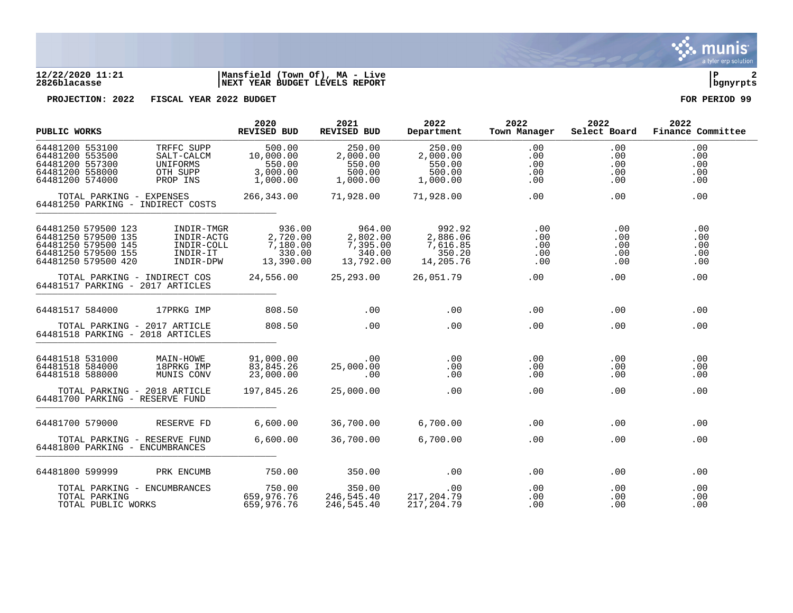

## **12/22/2020 11:21 |Mansfield (Town Of), MA - Live |P 2 2826blacasse |NEXT YEAR BUDGET LEVELS REPORT |bgnyrpts**

**PROJECTION: 2022 FISCAL YEAR 2022 BUDGET FOR PERIOD 99**

| PUBLIC WORKS                                                                                                    |                          |                                                                  | 2020<br><b>REVISED BUD</b>                            | 2021<br>REVISED BUD                                   | 2022<br>Department                                    | 2022<br>Town Manager                 | 2022<br>Select Board                 | 2022<br>Finance Committee       |
|-----------------------------------------------------------------------------------------------------------------|--------------------------|------------------------------------------------------------------|-------------------------------------------------------|-------------------------------------------------------|-------------------------------------------------------|--------------------------------------|--------------------------------------|---------------------------------|
| 64481200 553100<br>64481200 553500<br>64481200 557300<br>64481200 558000<br>64481200 574000                     |                          | TRFFC SUPP<br>SALT-CALCM<br>UNIFORMS<br>OTH SUPP<br>PROP INS     | 500.00<br>10,000.00<br>550.00<br>3,000.00<br>1,000.00 | 250.00<br>2,000.00<br>550.00<br>500.00<br>1,000.00    | 250.00<br>2,000.00<br>550.00<br>500.00<br>1,000.00    | .00<br>.00<br>.00<br>.00<br>.00      | .00<br>.00<br>.00<br>.00<br>$.00 \,$ | .00<br>.00<br>.00<br>.00<br>.00 |
|                                                                                                                 | TOTAL PARKING - EXPENSES | 64481250 PARKING - INDIRECT COSTS                                | 266,343.00                                            | 71,928.00                                             | 71,928.00                                             | .00                                  | .00                                  | .00                             |
| 64481250 579500 123<br>64481250 579500 135<br>64481250 579500 145<br>64481250 579500 155<br>64481250 579500 420 |                          | INDIR-TMGR<br>INDIR-ACTG<br>INDIR-COLL<br>INDIR-IT<br>INDIR-DPW  | 936.00<br>2,720.00<br>7,180.00<br>330.00<br>13,390.00 | 964.00<br>2,802.00<br>7,395.00<br>340.00<br>13,792.00 | 992.92<br>2,886.06<br>7,616.85<br>350.20<br>14,205.76 | $.00 \,$<br>.00<br>.00<br>.00<br>.00 | .00<br>.00<br>.00<br>.00<br>.00      | .00<br>.00<br>.00<br>.00<br>.00 |
|                                                                                                                 |                          | TOTAL PARKING - INDIRECT COS<br>64481517 PARKING - 2017 ARTICLES | 24,556.00 25,293.00                                   |                                                       | 26,051.79                                             | .00                                  | $.00 \,$                             | .00                             |
| 64481517 584000                                                                                                 |                          | 17PRKG IMP                                                       | 808.50                                                | $.00 \,$                                              | .00                                                   | .00                                  | .00                                  | .00                             |
|                                                                                                                 |                          | TOTAL PARKING - 2017 ARTICLE<br>64481518 PARKING - 2018 ARTICLES | 808.50                                                | .00                                                   | .00                                                   | .00                                  | $.00 \,$                             | .00                             |
| 64481518 531000<br>64481518 584000<br>64481518 588000                                                           |                          | MAIN-HOWE<br>18PRKG IMP<br>MUNIS CONV                            | 91,000.00<br>83,845.26<br>23,000.00                   | .00<br>25,000.00<br>.00                               | .00<br>.00<br>.00                                     | .00<br>.00<br>.00                    | .00<br>.00<br>.00                    | .00<br>.00<br>.00               |
|                                                                                                                 |                          | TOTAL PARKING - 2018 ARTICLE<br>64481700 PARKING - RESERVE FUND  | 197,845.26                                            | 25,000.00                                             | .00                                                   | .00                                  | .00                                  | .00                             |
| 64481700 579000                                                                                                 |                          | RESERVE FD                                                       | 6,600.00                                              | 36,700.00                                             | 6,700.00                                              | .00                                  | .00                                  | .00                             |
|                                                                                                                 |                          | TOTAL PARKING - RESERVE FUND<br>64481800 PARKING - ENCUMBRANCES  | 6,600.00                                              | 36,700.00                                             | 6,700.00                                              | .00                                  | .00                                  | .00                             |
| 64481800 599999                                                                                                 |                          | PRK ENCUMB                                                       | 750.00                                                | 350.00                                                | .00                                                   | .00                                  | .00                                  | .00                             |
| TOTAL PARKING                                                                                                   | TOTAL PUBLIC WORKS       | TOTAL PARKING - ENCUMBRANCES                                     | 750.00<br>659,976.76<br>659,976.76                    | 350.00<br>246,545.40<br>246,545.40                    | .00<br>217,204.79<br>217,204.79                       | $.00 \,$<br>.00<br>.00               | $.00 \,$<br>.00<br>.00               | .00<br>.00<br>.00               |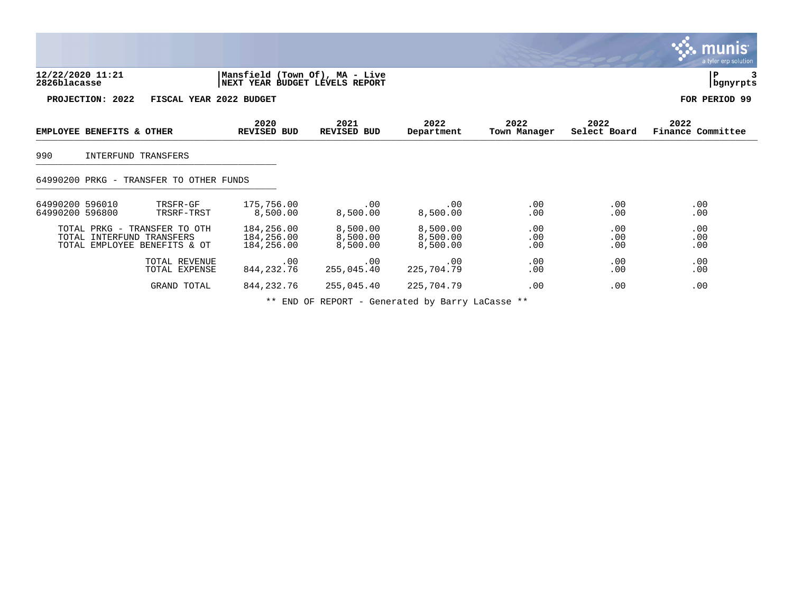|                                                                                           |                                                                  |                                  |                                  |                      |                      | munis<br>a tyler erp solution |
|-------------------------------------------------------------------------------------------|------------------------------------------------------------------|----------------------------------|----------------------------------|----------------------|----------------------|-------------------------------|
| 12/22/2020 11:21<br>2826blacasse                                                          | Mansfield (Town Of), MA - Live<br>NEXT YEAR BUDGET LEVELS REPORT |                                  |                                  |                      |                      | P<br>bgnyrpts                 |
| PROJECTION: 2022                                                                          | FISCAL YEAR 2022 BUDGET                                          |                                  |                                  |                      |                      | FOR PERIOD 99                 |
| EMPLOYEE BENEFITS & OTHER                                                                 | 2020<br>REVISED BUD                                              | 2021<br>REVISED BUD              | 2022<br>Department               | 2022<br>Town Manager | 2022<br>Select Board | 2022<br>Finance Committee     |
| 990<br>INTERFUND TRANSFERS                                                                |                                                                  |                                  |                                  |                      |                      |                               |
| 64990200 PRKG - TRANSFER TO OTHER FUNDS                                                   |                                                                  |                                  |                                  |                      |                      |                               |
| 64990200 596010<br>TRSFR-GF<br>64990200 596800<br>TRSRF-TRST                              | 175,756.00<br>8,500.00                                           | .00<br>8,500.00                  | .00<br>8,500.00                  | .00<br>.00           | .00<br>.00           | .00<br>.00                    |
| TOTAL PRKG - TRANSFER TO OTH<br>TOTAL INTERFUND TRANSFERS<br>TOTAL EMPLOYEE BENEFITS & OT | 184,256.00<br>184,256.00<br>184,256.00                           | 8,500.00<br>8,500.00<br>8,500.00 | 8,500.00<br>8,500.00<br>8,500.00 | .00<br>.00<br>.00    | .00<br>.00<br>.00    | .00<br>.00<br>.00             |
| TOTAL REVENUE<br>TOTAL EXPENSE                                                            | .00<br>844, 232. 76                                              | .00<br>255,045.40                | .00<br>225,704.79                | .00<br>.00           | $.00 \,$<br>.00      | .00<br>.00                    |
| GRAND TOTAL                                                                               | 844, 232. 76                                                     | 255,045.40                       | 225,704.79                       | .00                  | .00                  | .00                           |

\*\* END OF REPORT - Generated by Barry LaCasse \*\*